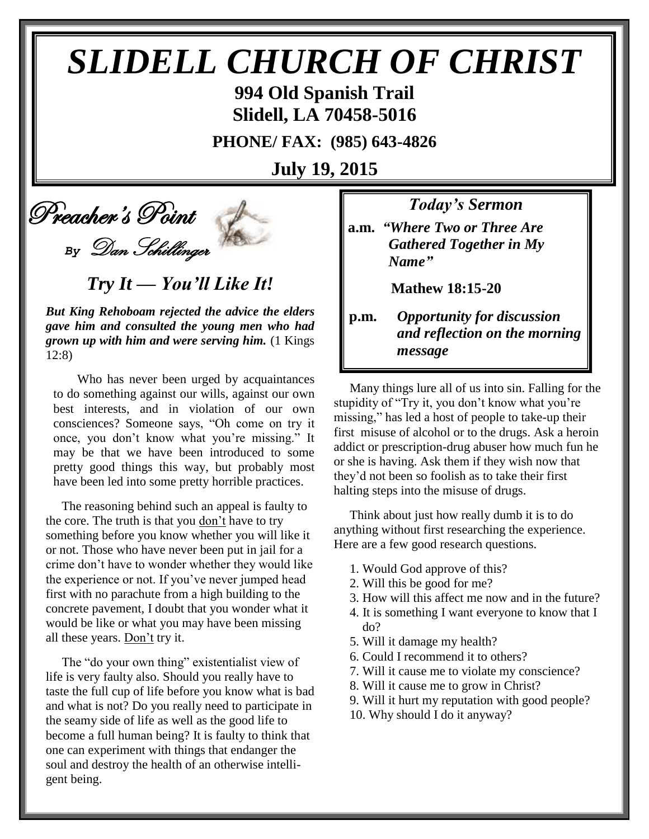# *SLIDELL CHURCH OF CHRIST*

**994 Old Spanish Trail Slidell, LA 70458-5016**

**PHONE/ FAX: (985) 643-4826**

**July 19, 2015**

Preacher's Point

*By* Dan Schillinger

*Try It — You'll Like It!*

*But King Rehoboam rejected the advice the elders gave him and consulted the young men who had grown up with him and were serving him.* (1 Kings 12:8)

 Who has never been urged by acquaintances to do something against our wills, against our own best interests, and in violation of our own consciences? Someone says, "Oh come on try it once, you don't know what you're missing." It may be that we have been introduced to some pretty good things this way, but probably most have been led into some pretty horrible practices.

The reasoning behind such an appeal is faulty to the core. The truth is that you don't have to try something before you know whether you will like it or not. Those who have never been put in jail for a crime don't have to wonder whether they would like the experience or not. If you've never jumped head first with no parachute from a high building to the concrete pavement, I doubt that you wonder what it would be like or what you may have been missing all these years. Don't try it.

The "do your own thing" existentialist view of life is very faulty also. Should you really have to taste the full cup of life before you know what is bad and what is not? Do you really need to participate in the seamy side of life as well as the good life to become a full human being? It is faulty to think that one can experiment with things that endanger the soul and destroy the health of an otherwise intelligent being.

*Today's Sermon*

**a.m.** *"Where Two or Three Are*  *Gathered Together in My Name"*

**Mathew 18:15-20**

**p.m.** *Opportunity for discussion*  *and reflection on the morning message*

Many things lure all of us into sin. Falling for the stupidity of "Try it, you don't know what you're missing," has led a host of people to take-up their first misuse of alcohol or to the drugs. Ask a heroin addict or prescription-drug abuser how much fun he or she is having. Ask them if they wish now that they'd not been so foolish as to take their first halting steps into the misuse of drugs. 

Think about just how really dumb it is to do anything without first researching the experience. Here are a few good research questions.

- 1. Would God approve of this?
- 2. Will this be good for me?
- 3. How will this affect me now and in the future?
- 4. It is something I want everyone to know that I do?
- 5. Will it damage my health?
- 6. Could I recommend it to others?
- 7. Will it cause me to violate my conscience?
- 8. Will it cause me to grow in Christ?
- 9. Will it hurt my reputation with good people?
- 10. Why should I do it anyway?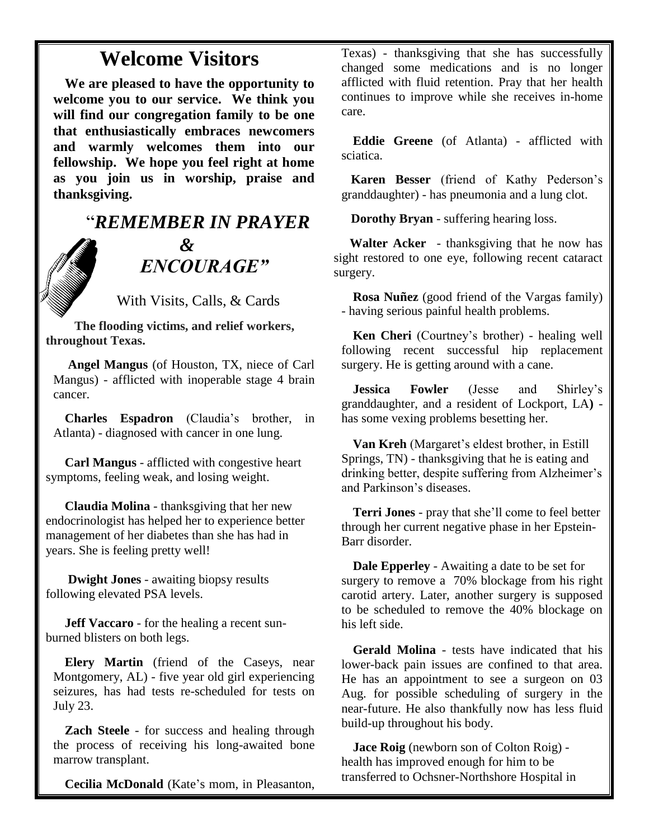### **Welcome Visitors**

**We are pleased to have the opportunity to welcome you to our service. We think you will find our congregation family to be one that enthusiastically embraces newcomers and warmly welcomes them into our fellowship. We hope you feel right at home as you join us in worship, praise and thanksgiving.**

## "*REMEMBER IN PRAYER &* " *ENCOURAGE"*

With Visits, Calls, & Cards

 **The flooding victims, and relief workers, throughout Texas.**

**Angel Mangus** (of Houston, TX, niece of Carl Mangus) - afflicted with inoperable stage 4 brain cancer.

**Charles Espadron** (Claudia's brother, in Atlanta) - diagnosed with cancer in one lung.

 **Carl Mangus** - afflicted with congestive heart symptoms, feeling weak, and losing weight.

 **Claudia Molina** - thanksgiving that her new endocrinologist has helped her to experience better management of her diabetes than she has had in years. She is feeling pretty well!

 **Dwight Jones** - awaiting biopsy results following elevated PSA levels.

 **Jeff Vaccaro** - for the healing a recent sunburned blisters on both legs.

**Elery Martin** (friend of the Caseys, near Montgomery, AL) - five year old girl experiencing seizures, has had tests re-scheduled for tests on July 23.

**Zach Steele** - for success and healing through the process of receiving his long-awaited bone marrow transplant.

**Cecilia McDonald** (Kate's mom, in Pleasanton,

Texas) - thanksgiving that she has successfully changed some medications and is no longer afflicted with fluid retention. Pray that her health continues to improve while she receives in-home care.

**Eddie Greene** (of Atlanta) - afflicted with sciatica.

 **Karen Besser** (friend of Kathy Pederson's granddaughter) - has pneumonia and a lung clot.

 **Dorothy Bryan** - suffering hearing loss.

 **Walter Acker** - thanksgiving that he now has sight restored to one eye, following recent cataract surgery.

**Rosa Nuñez** (good friend of the Vargas family) - having serious painful health problems.

**Ken Cheri** (Courtney's brother) - healing well following recent successful hip replacement surgery. He is getting around with a cane.

**Jessica Fowler** (Jesse and Shirley's granddaughter, and a resident of Lockport, LA**)**  has some vexing problems besetting her.

**Van Kreh** (Margaret's eldest brother, in Estill Springs, TN) - thanksgiving that he is eating and drinking better, despite suffering from Alzheimer's and Parkinson's diseases.

**Terri Jones** - pray that she'll come to feel better through her current negative phase in her Epstein-Barr disorder.

**Dale Epperley** - Awaiting a date to be set for surgery to remove a 70% blockage from his right carotid artery. Later, another surgery is supposed to be scheduled to remove the 40% blockage on his left side.

**Gerald Molina** - tests have indicated that his lower-back pain issues are confined to that area. He has an appointment to see a surgeon on 03 Aug. for possible scheduling of surgery in the near-future. He also thankfully now has less fluid build-up throughout his body.

**Jace Roig** (newborn son of Colton Roig) health has improved enough for him to be transferred to Ochsner-Northshore Hospital in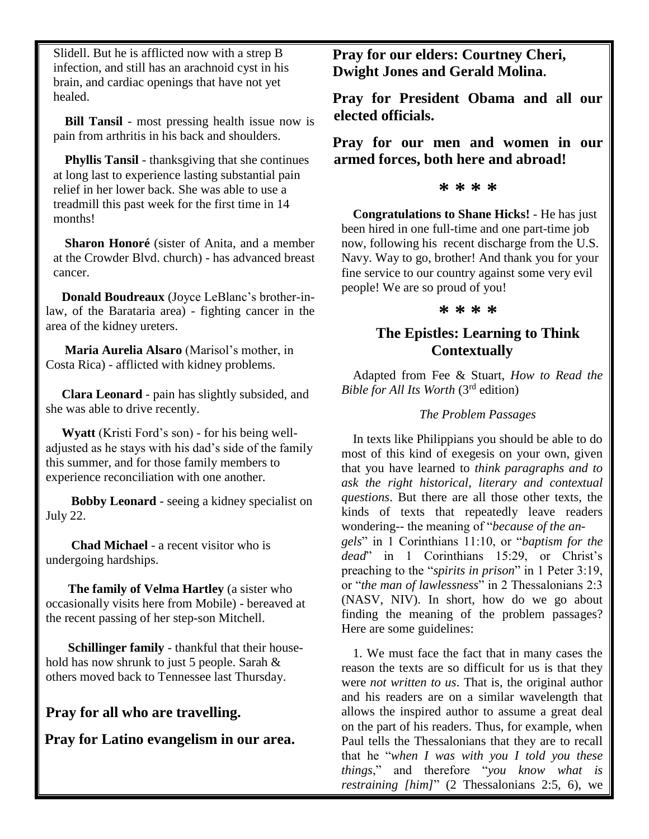Slidell. But he is afflicted now with a strep B infection, and still has an arachnoid cyst in his brain, and cardiac openings that have not yet healed.

**Bill Tansil** - most pressing health issue now is pain from arthritis in his back and shoulders.

**Phyllis Tansil** - thanksgiving that she continues at long last to experience lasting substantial pain relief in her lower back. She was able to use a treadmill this past week for the first time in 14 months!

**Sharon Honoré** (sister of Anita, and a member at the Crowder Blvd. church) - has advanced breast cancer.

 **Donald Boudreaux** (Joyce LeBlanc's brother-inlaw, of the Barataria area) - fighting cancer in the area of the kidney ureters.

 **Maria Aurelia Alsaro** (Marisol's mother, in Costa Rica) - afflicted with kidney problems.

 **Clara Leonard** - pain has slightly subsided, and she was able to drive recently.

 **Wyatt** (Kristi Ford's son) - for his being welladjusted as he stays with his dad's side of the family this summer, and for those family members to experience reconciliation with one another.

 **Bobby Leonard** - seeing a kidney specialist on July 22.

 **Chad Michael** - a recent visitor who is undergoing hardships.

 **The family of Velma Hartley** (a sister who occasionally visits here from Mobile) - bereaved at the recent passing of her step-son Mitchell.

 **Schillinger family** - thankful that their household has now shrunk to just 5 people. Sarah & others moved back to Tennessee last Thursday.

**Pray for all who are travelling.**

**Pray for Latino evangelism in our area.**

**Pray for our elders: Courtney Cheri, Dwight Jones and Gerald Molina.**

**Pray for President Obama and all our elected officials.**

**Pray for our men and women in our armed forces, both here and abroad!**

#### **\* \* \* \***

**Congratulations to Shane Hicks!** - He has just been hired in one full-time and one part-time job now, following his recent discharge from the U.S. Navy. Way to go, brother! And thank you for your fine service to our country against some very evil people! We are so proud of you!

#### **\* \* \* \***

#### **The Epistles: Learning to Think Contextually**

Adapted from Fee & Stuart, *How to Read the Bible for All Its Worth* (3rd edition)

#### *The Problem Passages*

In texts like Philippians you should be able to do most of this kind of exegesis on your own, given that you have learned to *think paragraphs and to ask the right historical, literary and contextual questions*. But there are all those other texts, the kinds of texts that repeatedly leave readers wondering-- the meaning of "*because of the angels*" in 1 Corinthians 11:10, or "*baptism for the dead*" in 1 Corinthians 15:29, or Christ's preaching to the "*spirits in prison*" in 1 Peter 3:19, or "*the man of lawlessness*" in 2 Thessalonians 2:3 (NASV, NIV). In short, how do we go about finding the meaning of the problem passages? Here are some guidelines:

1. We must face the fact that in many cases the reason the texts are so difficult for us is that they were *not written to us*. That is, the original author and his readers are on a similar wavelength that allows the inspired author to assume a great deal on the part of his readers. Thus, for example, when Paul tells the Thessalonians that they are to recall that he "*when I was with you I told you these things*," and therefore "*you know what is restraining [him]*" (2 Thessalonians 2:5, 6), we